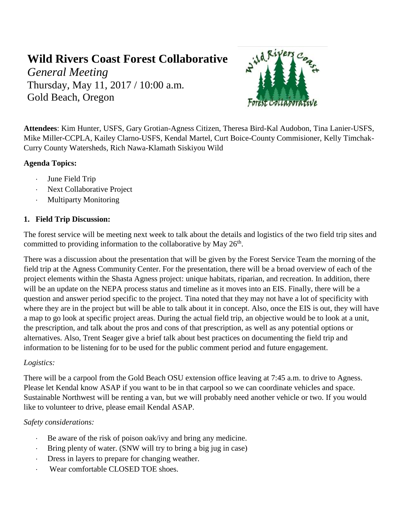# **Wild Rivers Coast Forest Collaborative**

*General Meeting* Thursday, May 11, 2017 / 10:00 a.m. Gold Beach, Oregon



**Attendees**: Kim Hunter, USFS, Gary Grotian-Agness Citizen, Theresa Bird-Kal Audobon, Tina Lanier-USFS, Mike Miller-CCPLA, Kailey Clarno-USFS, Kendal Martel, Curt Boice-County Commisioner, Kelly Timchak-Curry County Watersheds, Rich Nawa-Klamath Siskiyou Wild

# **Agenda Topics:**

- June Field Trip
- Next Collaborative Project
- Multiparty Monitoring

## **1. Field Trip Discussion:**

The forest service will be meeting next week to talk about the details and logistics of the two field trip sites and committed to providing information to the collaborative by May  $26<sup>th</sup>$ .

There was a discussion about the presentation that will be given by the Forest Service Team the morning of the field trip at the Agness Community Center. For the presentation, there will be a broad overview of each of the project elements within the Shasta Agness project: unique habitats, riparian, and recreation. In addition, there will be an update on the NEPA process status and timeline as it moves into an EIS. Finally, there will be a question and answer period specific to the project. Tina noted that they may not have a lot of specificity with where they are in the project but will be able to talk about it in concept. Also, once the EIS is out, they will have a map to go look at specific project areas. During the actual field trip, an objective would be to look at a unit, the prescription, and talk about the pros and cons of that prescription, as well as any potential options or alternatives. Also, Trent Seager give a brief talk about best practices on documenting the field trip and information to be listening for to be used for the public comment period and future engagement.

#### *Logistics:*

There will be a carpool from the Gold Beach OSU extension office leaving at 7:45 a.m. to drive to Agness. Please let Kendal know ASAP if you want to be in that carpool so we can coordinate vehicles and space. Sustainable Northwest will be renting a van, but we will probably need another vehicle or two. If you would like to volunteer to drive, please email Kendal ASAP.

# *Safety considerations:*

- Be aware of the risk of poison oak/ivy and bring any medicine.
- Bring plenty of water. (SNW will try to bring a big jug in case)
- Dress in layers to prepare for changing weather.
- Wear comfortable CLOSED TOE shoes.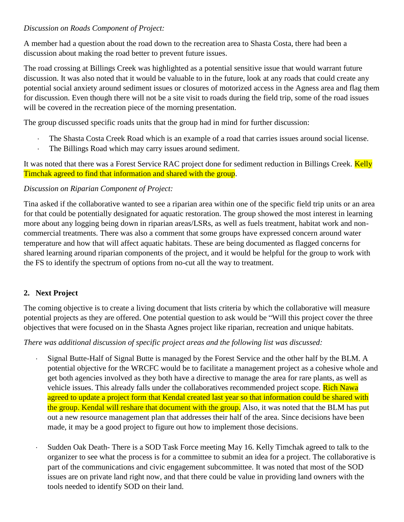#### *Discussion on Roads Component of Project:*

A member had a question about the road down to the recreation area to Shasta Costa, there had been a discussion about making the road better to prevent future issues.

The road crossing at Billings Creek was highlighted as a potential sensitive issue that would warrant future discussion. It was also noted that it would be valuable to in the future, look at any roads that could create any potential social anxiety around sediment issues or closures of motorized access in the Agness area and flag them for discussion. Even though there will not be a site visit to roads during the field trip, some of the road issues will be covered in the recreation piece of the morning presentation.

The group discussed specific roads units that the group had in mind for further discussion:

- The Shasta Costa Creek Road which is an example of a road that carries issues around social license.
- The Billings Road which may carry issues around sediment.

It was noted that there was a Forest Service RAC project done for sediment reduction in Billings Creek. Kelly Timchak agreed to find that information and shared with the group.

## *Discussion on Riparian Component of Project:*

Tina asked if the collaborative wanted to see a riparian area within one of the specific field trip units or an area for that could be potentially designated for aquatic restoration. The group showed the most interest in learning more about any logging being down in riparian areas/LSRs, as well as fuels treatment, habitat work and noncommercial treatments. There was also a comment that some groups have expressed concern around water temperature and how that will affect aquatic habitats. These are being documented as flagged concerns for shared learning around riparian components of the project, and it would be helpful for the group to work with the FS to identify the spectrum of options from no-cut all the way to treatment.

# **2. Next Project**

The coming objective is to create a living document that lists criteria by which the collaborative will measure potential projects as they are offered. One potential question to ask would be "Will this project cover the three objectives that were focused on in the Shasta Agnes project like riparian, recreation and unique habitats.

#### *There was additional discussion of specific project areas and the following list was discussed:*

- Signal Butte-Half of Signal Butte is managed by the Forest Service and the other half by the BLM. A potential objective for the WRCFC would be to facilitate a management project as a cohesive whole and get both agencies involved as they both have a directive to manage the area for rare plants, as well as vehicle issues. This already falls under the collaboratives recommended project scope. Rich Nawa agreed to update a project form that Kendal created last year so that information could be shared with the group. Kendal will reshare that document with the group. Also, it was noted that the BLM has put out a new resource management plan that addresses their half of the area. Since decisions have been made, it may be a good project to figure out how to implement those decisions.
- Sudden Oak Death- There is a SOD Task Force meeting May 16. Kelly Timchak agreed to talk to the organizer to see what the process is for a committee to submit an idea for a project. The collaborative is part of the communications and civic engagement subcommittee. It was noted that most of the SOD issues are on private land right now, and that there could be value in providing land owners with the tools needed to identify SOD on their land.